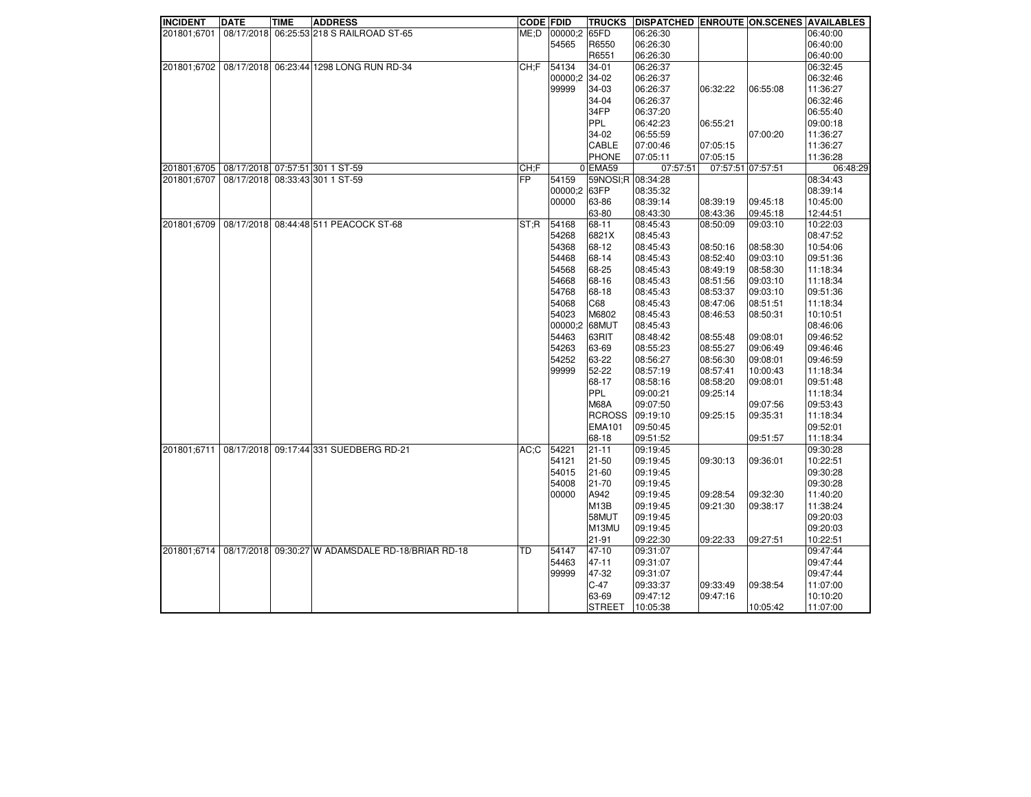| <b>INCIDENT</b> | <b>DATE</b> | <b>TIME</b> | <b>ADDRESS</b>                                    | <b>CODE FDID</b> |               | <b>TRUCKS</b>         | DISPATCHED ENROUTE ON SCENES AVAILABLES |                   |          |          |
|-----------------|-------------|-------------|---------------------------------------------------|------------------|---------------|-----------------------|-----------------------------------------|-------------------|----------|----------|
| 201801:6701     |             |             | 08/17/2018 06:25:53 218 S RAILROAD ST-65          | ME: D            | 00000:2 65FD  |                       | 06:26:30                                |                   |          | 06:40:00 |
|                 |             |             |                                                   |                  | 54565         | R6550                 | 06:26:30                                |                   |          | 06:40:00 |
|                 |             |             |                                                   |                  |               | R6551                 | 06:26:30                                |                   |          | 06:40:00 |
| 201801;6702     |             |             | 08/17/2018 06:23:44 1298 LONG RUN RD-34           | CH:F             | 54134         | 34-01                 | 06:26:37                                |                   |          | 06:32:45 |
|                 |             |             |                                                   |                  | 00000:2 34-02 |                       | 06:26:37                                |                   |          | 06:32:46 |
|                 |             |             |                                                   |                  | 99999         | 34-03                 | 06:26:37                                | 06:32:22          | 06:55:08 | 11:36:27 |
|                 |             |             |                                                   |                  |               | 34-04                 | 06:26:37                                |                   |          | 06:32:46 |
|                 |             |             |                                                   |                  |               | 34FP                  | 06:37:20                                |                   |          | 06:55:40 |
|                 |             |             |                                                   |                  |               | <b>PPL</b>            | 06:42:23                                | 06:55:21          |          | 09:00:18 |
|                 |             |             |                                                   |                  |               | 34-02                 | 06:55:59                                |                   | 07:00:20 | 11:36:27 |
|                 |             |             |                                                   |                  |               | CABLE                 | 07:00:46                                | 07:05:15          |          | 11:36:27 |
|                 |             |             |                                                   |                  |               | <b>PHONE</b>          | 07:05:11                                | 07:05:15          |          | 11:36:28 |
| 201801;6705     |             |             | 08/17/2018 07:57:51 301 1 ST-59                   | CH:F             |               | $0$ EMA <sub>59</sub> | 07:57:51                                | 07:57:51 07:57:51 |          | 06:48:29 |
| 201801;6707     |             |             | 08/17/2018 08:33:43 301 1 ST-59                   | <b>FP</b>        | 54159         | 59NOSI;R 08:34:28     |                                         |                   |          | 08:34:43 |
|                 |             |             |                                                   |                  | 00000;2 63FP  |                       | 08:35:32                                |                   |          | 08:39:14 |
|                 |             |             |                                                   |                  | 00000         | 63-86                 | 08:39:14                                | 08:39:19          | 09:45:18 | 10:45:00 |
|                 |             |             |                                                   |                  |               | 63-80                 | 08:43:30                                | 08:43:36          | 09:45:18 | 12:44:51 |
| 201801:6709     |             |             | 08/17/2018 08:44:48 511 PEACOCK ST-68             | ST;R             | 54168         | 68-11                 | 08:45:43                                | 08:50:09          | 09:03:10 | 10:22:03 |
|                 |             |             |                                                   |                  | 54268         | 6821X                 | 08:45:43                                |                   |          | 08:47:52 |
|                 |             |             |                                                   |                  | 54368         | 68-12                 | 08:45:43                                | 08:50:16          | 08:58:30 | 10:54:06 |
|                 |             |             |                                                   |                  | 54468         | 68-14                 | 08:45:43                                | 08:52:40          | 09:03:10 | 09:51:36 |
|                 |             |             |                                                   |                  | 54568         | 68-25                 | 08:45:43                                | 08:49:19          | 08:58:30 | 11:18:34 |
|                 |             |             |                                                   |                  | 54668         | 68-16                 | 08:45:43                                | 08:51:56          | 09:03:10 | 11:18:34 |
|                 |             |             |                                                   |                  | 54768         | 68-18                 | 08:45:43                                | 08:53:37          | 09:03:10 | 09:51:36 |
|                 |             |             |                                                   |                  | 54068         | C68                   | 08:45:43                                | 08:47:06          | 08:51:51 | 11:18:34 |
|                 |             |             |                                                   |                  | 54023         | M6802                 | 08:45:43                                | 08:46:53          | 08:50:31 | 10:10:51 |
|                 |             |             |                                                   |                  | 00000:2 68MUT |                       | 08:45:43                                |                   |          | 08:46:06 |
|                 |             |             |                                                   |                  | 54463         | 63RIT                 | 08:48:42                                | 08:55:48          | 09:08:01 | 09:46:52 |
|                 |             |             |                                                   |                  | 54263         | 63-69                 | 08:55:23                                | 08:55:27          | 09:06:49 | 09:46:46 |
|                 |             |             |                                                   |                  | 54252         | 63-22                 | 08:56:27                                | 08:56:30          | 09:08:01 | 09:46:59 |
|                 |             |             |                                                   |                  | 99999         | 52-22                 | 08:57:19                                | 08:57:41          | 10:00:43 | 11:18:34 |
|                 |             |             |                                                   |                  |               | 68-17                 | 08:58:16                                | 08:58:20          | 09:08:01 | 09:51:48 |
|                 |             |             |                                                   |                  |               | <b>PPL</b>            | 09:00:21                                | 09:25:14          |          | 11:18:34 |
|                 |             |             |                                                   |                  |               | <b>M68A</b>           | 09:07:50                                |                   | 09:07:56 | 09:53:43 |
|                 |             |             |                                                   |                  |               | <b>RCROSS</b>         | 09:19:10                                | 09:25:15          | 09:35:31 | 11:18:34 |
|                 |             |             |                                                   |                  |               | <b>EMA101</b>         | 09:50:45                                |                   |          | 09:52:01 |
|                 |             |             |                                                   |                  |               | 68-18                 | 09:51:52                                |                   | 09:51:57 | 11:18:34 |
| 201801;6711     | 08/17/2018  |             | 09:17:44 331 SUEDBERG RD-21                       | $AC:$ C          | 54221         | $21 - 11$             | 09:19:45                                |                   |          | 09:30:28 |
|                 |             |             |                                                   |                  | 54121         | $21 - 50$             | 09:19:45                                | 09:30:13          | 09:36:01 | 10:22:51 |
|                 |             |             |                                                   |                  | 54015         | $21 - 60$             | 09:19:45                                |                   |          | 09:30:28 |
|                 |             |             |                                                   |                  | 54008         | 21-70                 | 09:19:45                                |                   |          | 09:30:28 |
|                 |             |             |                                                   |                  | 00000         | A942                  | 09:19:45                                | 09:28:54          | 09:32:30 | 11:40:20 |
|                 |             |             |                                                   |                  |               | M <sub>13</sub> B     | 09:19:45                                | 09:21:30          | 09:38:17 | 11:38:24 |
|                 |             |             |                                                   |                  |               | 58MUT                 | 09:19:45                                |                   |          | 09:20:03 |
|                 |             |             |                                                   |                  |               | M13MU                 | 09:19:45                                |                   |          | 09:20:03 |
|                 |             |             |                                                   |                  |               | $21 - 91$             | 09:22:30                                | 09:22:33          | 09:27:51 | 10:22:51 |
| 201801:6714     |             |             | 08/17/2018 09:30:27 W ADAMSDALE RD-18/BRIAR RD-18 | TD               | 54147         | 47-10                 | 09:31:07                                |                   |          | 09:47:44 |
|                 |             |             |                                                   |                  | 54463         | $47 - 11$             | 09:31:07                                |                   |          | 09:47:44 |
|                 |             |             |                                                   |                  | 99999         | 47-32                 |                                         |                   |          | 09:47:44 |
|                 |             |             |                                                   |                  |               | $C-47$                | 09:31:07<br>09:33:37                    |                   | 09:38:54 | 11:07:00 |
|                 |             |             |                                                   |                  |               | 63-69                 | 09:47:12                                | 09:33:49          |          |          |
|                 |             |             |                                                   |                  |               |                       |                                         | 09:47:16          |          | 10:10:20 |
|                 |             |             |                                                   |                  |               | <b>STREET</b>         | 10:05:38                                |                   | 10:05:42 | 11:07:00 |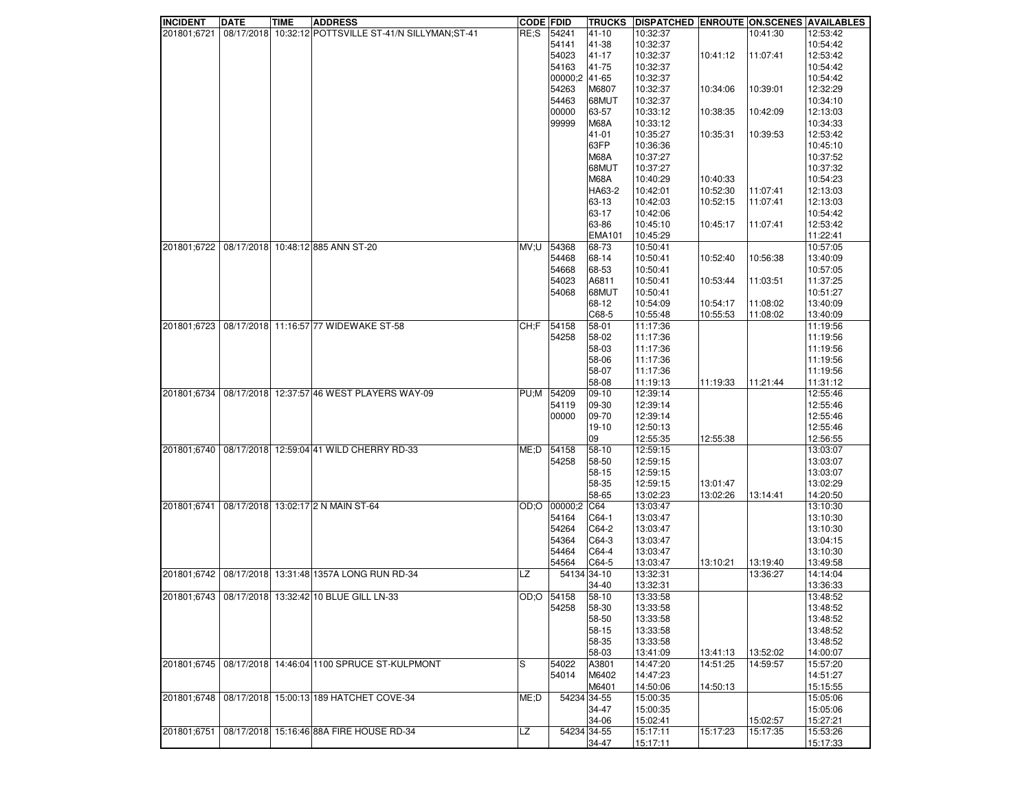| <b>INCIDENT</b> | <b>DATE</b> | <b>TIME</b> | <b>ADDRESS</b>                                         | <b>CODE FDID</b> |            | <b>TRUCKS</b> | <b>DISPATCHED ENROUTE ON SCENES AVAILABLES</b> |          |          |          |
|-----------------|-------------|-------------|--------------------------------------------------------|------------------|------------|---------------|------------------------------------------------|----------|----------|----------|
| 201801;6721     |             |             | 08/17/2018 10:32:12 POTTSVILLE ST-41/N SILLYMAN; ST-41 | RE:S             | 54241      | 41-10         | 10:32:37                                       |          | 10:41:30 | 12:53:42 |
|                 |             |             |                                                        |                  | 54141      | 41-38         | 10:32:37                                       |          |          | 10:54:42 |
|                 |             |             |                                                        |                  | 54023      | 41-17         | 10:32:37                                       | 10:41:12 | 11:07:41 | 12:53:42 |
|                 |             |             |                                                        |                  | 54163      | 41-75         | 10:32:37                                       |          |          | 10:54:42 |
|                 |             |             |                                                        |                  | 00000;2    | 41-65         | 10:32:37                                       |          |          | 10:54:42 |
|                 |             |             |                                                        |                  | 54263      | M6807         | 10:32:37                                       | 10:34:06 | 10:39:01 | 12:32:29 |
|                 |             |             |                                                        |                  | 54463      | 68MUT         | 10:32:37                                       |          |          | 10:34:10 |
|                 |             |             |                                                        |                  | 00000      | 63-57         | 10:33:12                                       | 10:38:35 | 10:42:09 | 12:13:03 |
|                 |             |             |                                                        |                  | 99999      | <b>M68A</b>   | 10:33:12                                       |          |          | 10:34:33 |
|                 |             |             |                                                        |                  |            | 41-01         | 10:35:27                                       | 10:35:31 | 10:39:53 | 12:53:42 |
|                 |             |             |                                                        |                  |            | 63FP          | 10:36:36                                       |          |          | 10:45:10 |
|                 |             |             |                                                        |                  |            |               |                                                |          |          |          |
|                 |             |             |                                                        |                  |            | <b>M68A</b>   | 10:37:27                                       |          |          | 10:37:52 |
|                 |             |             |                                                        |                  |            | 68MUT         | 10:37:27                                       |          |          | 10:37:32 |
|                 |             |             |                                                        |                  |            | M68A          | 10:40:29                                       | 10:40:33 |          | 10:54:23 |
|                 |             |             |                                                        |                  |            | HA63-2        | 10:42:01                                       | 10:52:30 | 11:07:41 | 12:13:03 |
|                 |             |             |                                                        |                  |            | 63-13         | 10:42:03                                       | 10:52:15 | 11:07:41 | 12:13:03 |
|                 |             |             |                                                        |                  |            | 63-17         | 10:42:06                                       |          |          | 10:54:42 |
|                 |             |             |                                                        |                  |            | 63-86         | 10:45:10                                       | 10:45:17 | 11:07:41 | 12:53:42 |
|                 |             |             |                                                        |                  |            | <b>EMA101</b> | 10:45:29                                       |          |          | 11:22:41 |
| 201801;6722     |             |             | 08/17/2018 10:48:12 885 ANN ST-20                      | MV;U             | 54368      | 68-73         | 10:50:41                                       |          |          | 10:57:05 |
|                 |             |             |                                                        |                  | 54468      | 68-14         | 10:50:41                                       | 10:52:40 | 10:56:38 | 13:40:09 |
|                 |             |             |                                                        |                  | 54668      | 68-53         | 10:50:41                                       |          |          | 10:57:05 |
|                 |             |             |                                                        |                  | 54023      | A6811         | 10:50:41                                       | 10:53:44 | 11:03:51 | 11:37:25 |
|                 |             |             |                                                        |                  | 54068      | 68MUT         | 10:50:41                                       |          |          | 10:51:27 |
|                 |             |             |                                                        |                  |            | 68-12         | 10:54:09                                       | 10:54:17 | 11:08:02 | 13:40:09 |
|                 |             |             |                                                        |                  |            | C68-5         | 10:55:48                                       | 10:55:53 | 11:08:02 | 13:40:09 |
| 201801;6723     |             |             | 08/17/2018 11:16:57 77 WIDEWAKE ST-58                  | CH: F            | 54158      | 58-01         | 11:17:36                                       |          |          | 11:19:56 |
|                 |             |             |                                                        |                  | 54258      | 58-02         | 11:17:36                                       |          |          | 11:19:56 |
|                 |             |             |                                                        |                  |            | 58-03         | 11:17:36                                       |          |          | 11:19:56 |
|                 |             |             |                                                        |                  |            | 58-06         | 11:17:36                                       |          |          | 11:19:56 |
|                 |             |             |                                                        |                  |            | 58-07         | 11:17:36                                       |          |          | 11:19:56 |
|                 |             |             |                                                        |                  |            | 58-08         | 11:19:13                                       | 11:19:33 | 11:21:44 | 11:31:12 |
| 201801;6734     |             |             | 08/17/2018 12:37:57 46 WEST PLAYERS WAY-09             | PU;M             | 54209      | 09-10         | 12:39:14                                       |          |          | 12:55:46 |
|                 |             |             |                                                        |                  | 54119      | 09-30         | 12:39:14                                       |          |          | 12:55:46 |
|                 |             |             |                                                        |                  | 00000      | 09-70         | 12:39:14                                       |          |          | 12:55:46 |
|                 |             |             |                                                        |                  |            | $19-10$       | 12:50:13                                       |          |          | 12:55:46 |
|                 |             |             |                                                        |                  |            | 09            | 12:55:35                                       | 12:55:38 |          | 12:56:55 |
| 201801;6740     |             |             | 08/17/2018 12:59:04 41 WILD CHERRY RD-33               | ME;D             | 54158      | 58-10         | 12:59:15                                       |          |          | 13:03:07 |
|                 |             |             |                                                        |                  | 54258      | 58-50         | 12:59:15                                       |          |          | 13:03:07 |
|                 |             |             |                                                        |                  |            | 58-15         | 12:59:15                                       |          |          | 13:03:07 |
|                 |             |             |                                                        |                  |            | 58-35         |                                                | 13:01:47 |          | 13:02:29 |
|                 |             |             |                                                        |                  |            | 58-65         | 12:59:15                                       |          |          | 14:20:50 |
|                 |             |             | 08/17/2018 13:02:17 2 N MAIN ST-64                     |                  |            | CG4           | 13:02:23                                       | 13:02:26 | 13:14:41 |          |
| 201801;6741     |             |             |                                                        | OD;O             | 00000:2    |               | 13:03:47                                       |          |          | 13:10:30 |
|                 |             |             |                                                        |                  | 54164      | C64-1         | 13:03:47                                       |          |          | 13:10:30 |
|                 |             |             |                                                        |                  | 54264      | C64-2         | 13:03:47                                       |          |          | 13:10:30 |
|                 |             |             |                                                        |                  | 54364      | C64-3         | 13:03:47                                       |          |          | 13:04:15 |
|                 |             |             |                                                        |                  | 54464      | C64-4         | 13:03:47                                       |          |          | 13:10:30 |
|                 |             |             |                                                        |                  | 54564      | C64-5         | 13:03:47                                       | 13:10:21 | 13:19:40 | 13:49:58 |
| 201801;6742     |             |             | 08/17/2018 13:31:48 1357A LONG RUN RD-34               | LZ               |            | 54134 34-10   | 13:32:31                                       |          | 13:36:27 | 14:14:04 |
|                 |             |             |                                                        |                  |            | 34-40         | 13:32:31                                       |          |          | 13:36:33 |
|                 |             |             | 201801;6743   08/17/2018   13:32:42 10 BLUE GILL LN-33 |                  | OD;O 54158 | 58-10         | 13:33:58                                       |          |          | 13:48:52 |
|                 |             |             |                                                        |                  | 54258      | 58-30         | 13:33:58                                       |          |          | 13:48:52 |
|                 |             |             |                                                        |                  |            | 58-50         | 13:33:58                                       |          |          | 13:48:52 |
|                 |             |             |                                                        |                  |            | 58-15         | 13:33:58                                       |          |          | 13:48:52 |
|                 |             |             |                                                        |                  |            | 58-35         | 13:33:58                                       |          |          | 13:48:52 |
|                 |             |             |                                                        |                  |            | 58-03         | 13:41:09                                       | 13:41:13 | 13:52:02 | 14:00:07 |
| 201801;6745     |             |             | 08/17/2018 14:46:04 1100 SPRUCE ST-KULPMONT            | S                | 54022      | A3801         | 14:47:20                                       | 14:51:25 | 14:59:57 | 15:57:20 |
|                 |             |             |                                                        |                  | 54014      | M6402         | 14:47:23                                       |          |          | 14:51:27 |
|                 |             |             |                                                        |                  |            | M6401         | 14:50:06                                       | 14:50:13 |          | 15:15:55 |
| 201801;6748     |             |             | 08/17/2018 15:00:13 189 HATCHET COVE-34                | ME;D             |            | 54234 34-55   | 15:00:35                                       |          |          | 15:05:06 |
|                 |             |             |                                                        |                  |            | 34-47         | 15:00:35                                       |          |          | 15:05:06 |
|                 |             |             |                                                        |                  |            | 34-06         | 15:02:41                                       |          | 15:02:57 | 15:27:21 |
| 201801;6751     |             |             | 08/17/2018 15:16:46 88A FIRE HOUSE RD-34               | LZ               |            | 54234 34-55   | 15:17:11                                       | 15:17:23 | 15:17:35 | 15:53:26 |
|                 |             |             |                                                        |                  |            | 34-47         | 15:17:11                                       |          |          | 15:17:33 |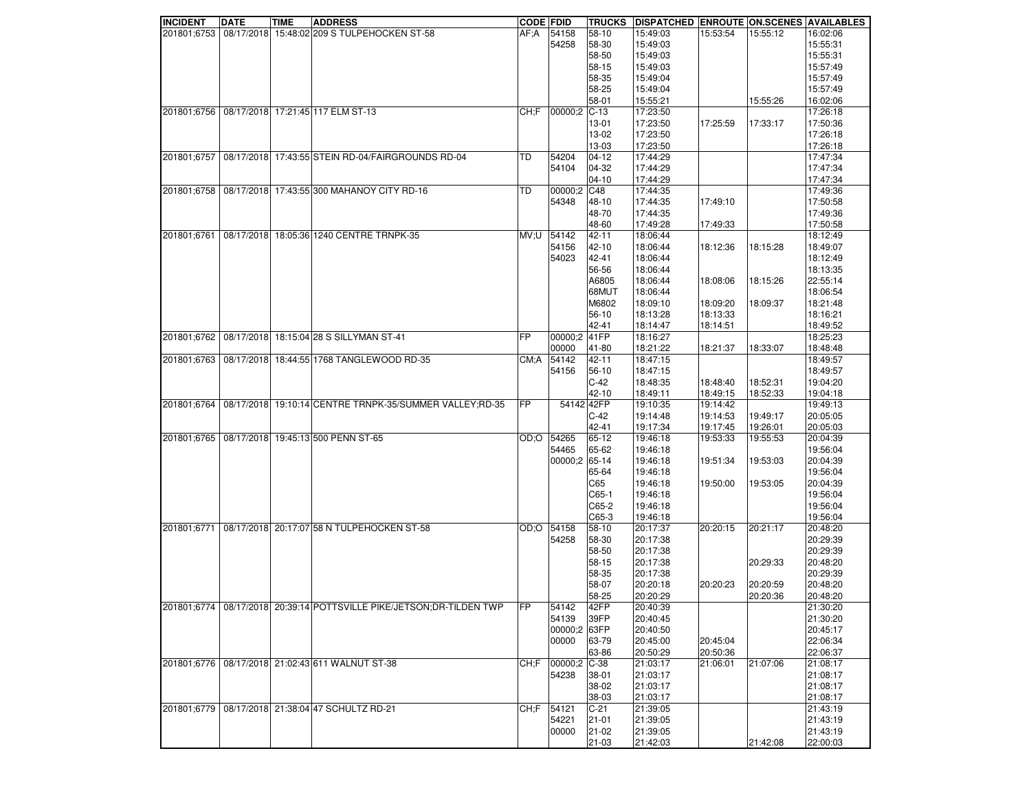| <b>INCIDENT</b> | <b>DATE</b> | <b>TIME</b> | <b>ADDRESS</b>                                           | <b>CODE FDID</b> |               | <b>TRUCKS</b> | <b>DISPATCHED ENROUTE ON SCENES AVAILABLES</b> |          |          |          |
|-----------------|-------------|-------------|----------------------------------------------------------|------------------|---------------|---------------|------------------------------------------------|----------|----------|----------|
| 201801;6753     |             |             | 08/17/2018 15:48:02 209 S TULPEHOCKEN ST-58              | AF:A             | 54158         | 58-10         | 15:49:03                                       | 15:53:54 | 15:55:12 | 16:02:06 |
|                 |             |             |                                                          |                  | 54258         | 58-30         | 15:49:03                                       |          |          | 15:55:31 |
|                 |             |             |                                                          |                  |               | 58-50         | 15:49:03                                       |          |          | 15:55:31 |
|                 |             |             |                                                          |                  |               | 58-15         | 15:49:03                                       |          |          | 15:57:49 |
|                 |             |             |                                                          |                  |               | 58-35         | 15:49:04                                       |          |          | 15:57:49 |
|                 |             |             |                                                          |                  |               | 58-25         | 15:49:04                                       |          |          | 15:57:49 |
|                 |             |             |                                                          |                  |               | 58-01         | 15:55:21                                       |          | 15:55:26 | 16:02:06 |
| 201801;6756     |             |             | 08/17/2018 17:21:45 117 ELM ST-13                        | CH:F             | 00000;2 C-13  |               | 17:23:50                                       |          |          | 17:26:18 |
|                 |             |             |                                                          |                  |               | 13-01         | 17:23:50                                       | 17:25:59 | 17:33:17 | 17:50:36 |
|                 |             |             |                                                          |                  |               | 13-02         | 17:23:50                                       |          |          | 17:26:18 |
|                 |             |             |                                                          |                  |               | 13-03         | 17:23:50                                       |          |          | 17:26:18 |
| 201801;6757     |             |             | 08/17/2018 17:43:55 STEIN RD-04/FAIRGROUNDS RD-04        | TD               | 54204         | $ 04-12 $     | 17:44:29                                       |          |          | 17:47:34 |
|                 |             |             |                                                          |                  | 54104         | 04-32         | 17:44:29                                       |          |          | 17:47:34 |
|                 |             |             |                                                          |                  |               | $ 04-10 $     | 17:44:29                                       |          |          | 17:47:34 |
| 201801;6758     |             |             | 08/17/2018 17:43:55 300 MAHANOY CITY RD-16               | TD               | 00000:2       | C48           | 17:44:35                                       |          |          | 17:49:36 |
|                 |             |             |                                                          |                  | 54348         | 48-10         |                                                | 17:49:10 |          | 17:50:58 |
|                 |             |             |                                                          |                  |               |               | 17:44:35                                       |          |          |          |
|                 |             |             |                                                          |                  |               | 48-70         | 17:44:35                                       |          |          | 17:49:36 |
|                 |             |             |                                                          |                  |               | 48-60         | 17:49:28                                       | 17:49:33 |          | 17:50:58 |
| 201801;6761     |             |             | 08/17/2018 18:05:36 1240 CENTRE TRNPK-35                 | MV;U             | 54142         | 42-11         | 18:06:44                                       |          |          | 18:12:49 |
|                 |             |             |                                                          |                  | 54156         | 42-10         | 18:06:44                                       | 18:12:36 | 18:15:28 | 18:49:07 |
|                 |             |             |                                                          |                  | 54023         | 42-41         | 18:06:44                                       |          |          | 18:12:49 |
|                 |             |             |                                                          |                  |               | 56-56         | 18:06:44                                       |          |          | 18:13:35 |
|                 |             |             |                                                          |                  |               | A6805         | 18:06:44                                       | 18:08:06 | 18:15:26 | 22:55:14 |
|                 |             |             |                                                          |                  |               | 68MUT         | 18:06:44                                       |          |          | 18:06:54 |
|                 |             |             |                                                          |                  |               | M6802         | 18:09:10                                       | 18:09:20 | 18:09:37 | 18:21:48 |
|                 |             |             |                                                          |                  |               | 56-10         | 18:13:28                                       | 18:13:33 |          | 18:16:21 |
|                 |             |             |                                                          |                  |               | 42-41         | 18:14:47                                       | 18:14:51 |          | 18:49:52 |
| 201801;6762     |             |             | 08/17/2018 18:15:04 28 S SILLYMAN ST-41                  | <b>FP</b>        | 00000:2 41FP  |               | 18:16:27                                       |          |          | 18:25:23 |
|                 |             |             |                                                          |                  | 00000         | 41-80         | 18:21:22                                       | 18:21:37 | 18:33:07 | 18:48:48 |
| 201801;6763     |             |             | 08/17/2018 18:44:55 1768 TANGLEWOOD RD-35                | CM: A            | 54142         | 42-11         | 18:47:15                                       |          |          | 18:49:57 |
|                 |             |             |                                                          |                  | 54156         | 56-10         | 18:47:15                                       |          |          | 18:49:57 |
|                 |             |             |                                                          |                  |               | $C-42$        | 18:48:35                                       | 18:48:40 | 18:52:31 | 19:04:20 |
|                 |             |             |                                                          |                  |               | 42-10         | 18:49:11                                       | 18:49:15 | 18:52:33 | 19:04:18 |
| 201801;6764     |             |             | 08/17/2018 19:10:14 CENTRE TRNPK-35/SUMMER VALLEY;RD-35  | <b>FP</b>        | 54142 42FP    |               | 19:10:35                                       | 19:14:42 |          | 19:49:13 |
|                 |             |             |                                                          |                  |               | $C-42$        | 19:14:48                                       | 19:14:53 | 19:49:17 | 20:05:05 |
|                 |             |             |                                                          |                  |               | 42-41         | 19:17:34                                       | 19:17:45 | 19:26:01 | 20:05:03 |
| 201801;6765     |             |             | 08/17/2018 19:45:13 500 PENN ST-65                       | OD;O             | 54265         | 65-12         | 19:46:18                                       | 19:53:33 | 19:55:53 | 20:04:39 |
|                 |             |             |                                                          |                  | 54465         | 65-62         | 19:46:18                                       |          |          | 19:56:04 |
|                 |             |             |                                                          |                  | 00000:2 65-14 |               | 19:46:18                                       | 19:51:34 | 19:53:03 | 20:04:39 |
|                 |             |             |                                                          |                  |               | 65-64         | 19:46:18                                       |          |          | 19:56:04 |
|                 |             |             |                                                          |                  |               | C65           | 19:46:18                                       | 19:50:00 | 19:53:05 | 20:04:39 |
|                 |             |             |                                                          |                  |               | $C65-1$       | 19:46:18                                       |          |          | 19:56:04 |
|                 |             |             |                                                          |                  |               |               |                                                |          |          |          |
|                 |             |             |                                                          |                  |               | C65-2         | 19:46:18                                       |          |          | 19:56:04 |
|                 |             |             |                                                          |                  |               | $ C65-3$      | 19:46:18                                       |          |          | 19:56:04 |
| 201801;6771     |             |             | 08/17/2018 20:17:07 58 N TULPEHOCKEN ST-58               | OD;O             | 54158         | 58-10         | 20:17:37                                       | 20:20:15 | 20:21:17 | 20:48:20 |
|                 |             |             |                                                          |                  | 54258         | 58-30         | 20:17:38                                       |          |          | 20:29:39 |
|                 |             |             |                                                          |                  |               | 58-50         | 20:17:38                                       |          |          | 20:29:39 |
|                 |             |             |                                                          |                  |               | 58-15         | 20:17:38                                       |          | 20:29:33 | 20:48:20 |
|                 |             |             |                                                          |                  |               | 58-35         | 20:17:38                                       |          |          | 20:29:39 |
|                 |             |             |                                                          |                  |               | 58-07         | 20:20:18                                       | 20:20:23 | 20:20:59 | 20:48:20 |
|                 |             |             |                                                          |                  |               | 58-25         | 20:20:29                                       |          | 20:20:36 | 20:48:20 |
| 201801;6774     |             |             | 08/17/2018 20:39:14 POTTSVILLE PIKE/JETSON;DR-TILDEN TWP | <b>FP</b>        | 54142         | 42FP          | 20:40:39                                       |          |          | 21:30:20 |
|                 |             |             |                                                          |                  | 54139         | 39FP          | 20:40:45                                       |          |          | 21:30:20 |
|                 |             |             |                                                          |                  | 00000;2 63FP  |               | 20:40:50                                       |          |          | 20:45:17 |
|                 |             |             |                                                          |                  | 00000         | 63-79         | 20:45:00                                       | 20:45:04 |          | 22:06:34 |
|                 |             |             |                                                          |                  |               | 63-86         | 20:50:29                                       | 20:50:36 |          | 22:06:37 |
| 201801;6776     |             |             | 08/17/2018 21:02:43 611 WALNUT ST-38                     | CH: F            | 00000;2       | $C-38$        | 21:03:17                                       | 21:06:01 | 21:07:06 | 21:08:17 |
|                 |             |             |                                                          |                  | 54238         | 38-01         | 21:03:17                                       |          |          | 21:08:17 |
|                 |             |             |                                                          |                  |               | 38-02         | 21:03:17                                       |          |          | 21:08:17 |
|                 |             |             |                                                          |                  |               | 38-03         | 21:03:17                                       |          |          | 21:08:17 |
| 201801;6779     |             |             | 08/17/2018 21:38:04 47 SCHULTZ RD-21                     | CH:F             | 54121         | $C-21$        | 21:39:05                                       |          |          | 21:43:19 |
|                 |             |             |                                                          |                  | 54221         | 21-01         | 21:39:05                                       |          |          | 21:43:19 |
|                 |             |             |                                                          |                  | 00000         | 21-02         | 21:39:05                                       |          |          | 21:43:19 |
|                 |             |             |                                                          |                  |               | 21-03         | 21:42:03                                       |          | 21:42:08 | 22:00:03 |
|                 |             |             |                                                          |                  |               |               |                                                |          |          |          |